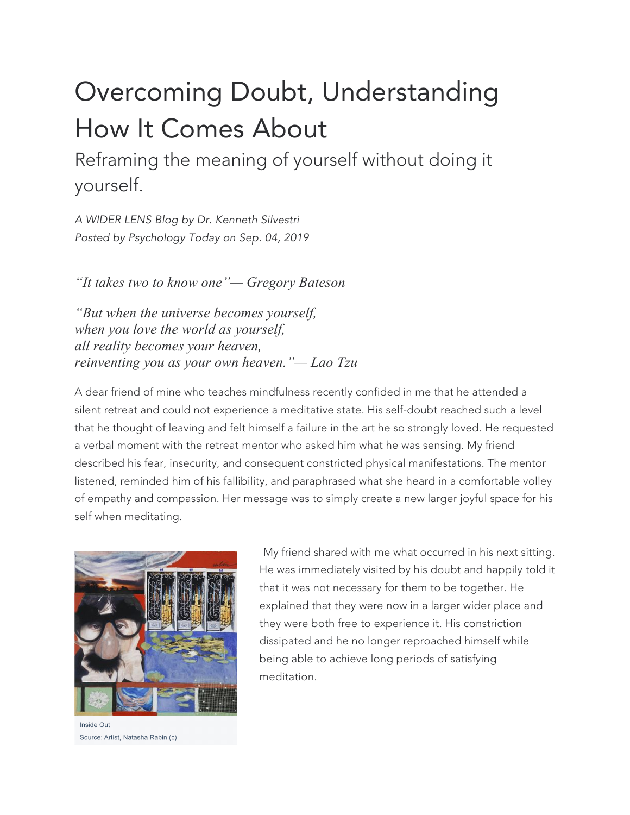## Overcoming Doubt, Understanding How It Comes About

Reframing the meaning of yourself without doing it yourself.

*A WIDER LENS Blog by Dr. Kenneth Silvestri Posted by Psychology Today on Sep. 04, 2019*

*"It takes two to know one"— Gregory Bateson*

*"But when the universe becomes yourself, when you love the world as yourself, all reality becomes your heaven, reinventing you as your own heaven."— Lao Tzu*

A dear friend of mine who teaches mindfulness recently confided in me that he attended a silent retreat and could not experience a meditative state. His self-doubt reached such a level that he thought of leaving and felt himself a failure in the art he so strongly loved. He requested a verbal moment with the retreat mentor who asked him what he was sensing. My friend described his fear, insecurity, and consequent constricted physical manifestations. The mentor listened, reminded him of his fallibility, and paraphrased what she heard in a comfortable volley of empathy and compassion. Her message was to simply create a new larger joyful space for his self when meditating.



Inside Out Source: Artist, Natasha Rabin (c)

My friend shared with me what occurred in his next sitting. He was immediately visited by his doubt and happily told it that it was not necessary for them to be together. He explained that they were now in a larger wider place and they were both free to experience it. His constriction dissipated and he no longer reproached himself while being able to achieve long periods of satisfying meditation.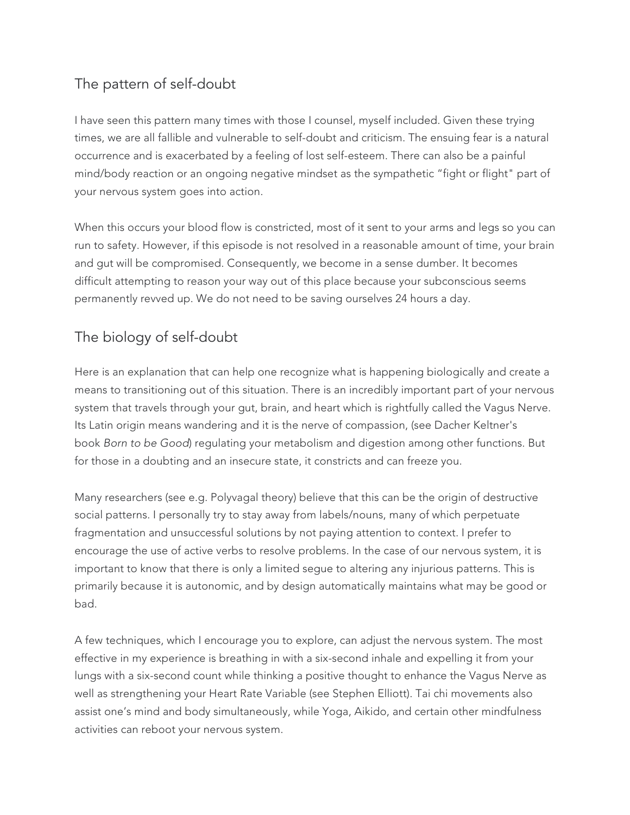## The pattern of self-doubt

I have seen this pattern many times with those I counsel, myself included. Given these trying times, we are all fallible and vulnerable to self-doubt and criticism. The ensuing fear is a natural occurrence and is exacerbated by a feeling of lost self-esteem. There can also be a painful mind/body reaction or an ongoing negative mindset as the sympathetic "fight or flight" part of your nervous system goes into action.

When this occurs your blood flow is constricted, most of it sent to your arms and legs so you can run to safety. However, if this episode is not resolved in a reasonable amount of time, your brain and gut will be compromised. Consequently, we become in a sense dumber. It becomes difficult attempting to reason your way out of this place because your subconscious seems permanently revved up. We do not need to be saving ourselves 24 hours a day.

## The biology of self-doubt

Here is an explanation that can help one recognize what is happening biologically and create a means to transitioning out of this situation. There is an incredibly important part of your nervous system that travels through your gut, brain, and heart which is rightfully called the Vagus Nerve. Its Latin origin means wandering and it is the nerve of compassion, (see Dacher Keltner's book *Born to be Good*) regulating your metabolism and digestion among other functions. But for those in a doubting and an insecure state, it constricts and can freeze you.

Many researchers (see e.g. Polyvagal theory) believe that this can be the origin of destructive social patterns. I personally try to stay away from labels/nouns, many of which perpetuate fragmentation and unsuccessful solutions by not paying attention to context. I prefer to encourage the use of active verbs to resolve problems. In the case of our nervous system, it is important to know that there is only a limited segue to altering any injurious patterns. This is primarily because it is autonomic, and by design automatically maintains what may be good or bad.

A few techniques, which I encourage you to explore, can adjust the nervous system. The most effective in my experience is breathing in with a six-second inhale and expelling it from your lungs with a six-second count while thinking a positive thought to enhance the Vagus Nerve as well as strengthening your Heart Rate Variable (see Stephen Elliott). Tai chi movements also assist one's mind and body simultaneously, while Yoga, Aikido, and certain other mindfulness activities can reboot your nervous system.